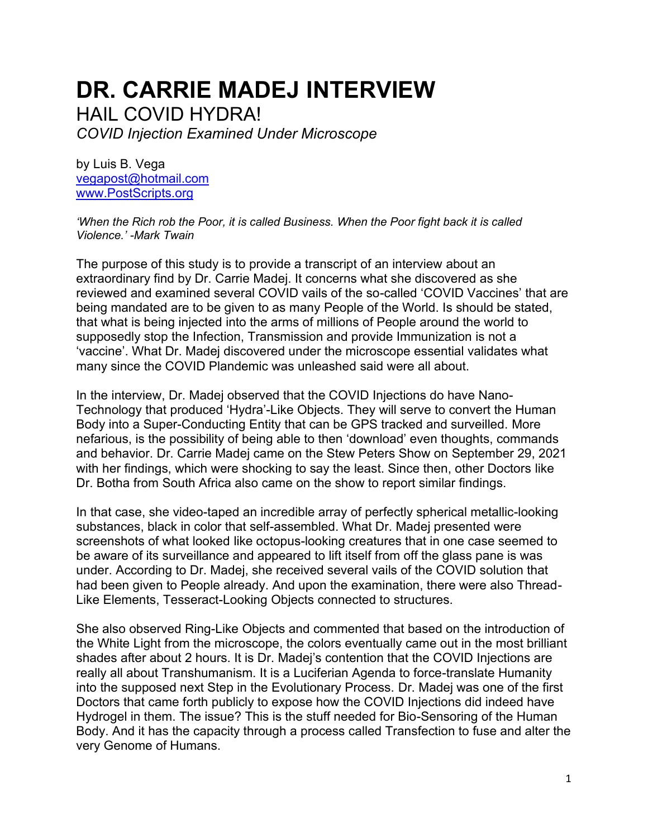# **DR. CARRIE MADEJ INTERVIEW**

HAIL COVID HYDRA!

*COVID Injection Examined Under Microscope*

by Luis B. Vega [vegapost@hotmail.com](mailto:vegapost@hotmail.com) [www.PostScripts.org](http://www.postscripts.org/)

*'When the Rich rob the Poor, it is called Business. When the Poor fight back it is called Violence.' -Mark Twain*

The purpose of this study is to provide a transcript of an interview about an extraordinary find by Dr. Carrie Madej. It concerns what she discovered as she reviewed and examined several COVID vails of the so-called 'COVID Vaccines' that are being mandated are to be given to as many People of the World. Is should be stated, that what is being injected into the arms of millions of People around the world to supposedly stop the Infection, Transmission and provide Immunization is not a 'vaccine'. What Dr. Madej discovered under the microscope essential validates what many since the COVID Plandemic was unleashed said were all about.

In the interview, Dr. Madej observed that the COVID Injections do have Nano-Technology that produced 'Hydra'-Like Objects. They will serve to convert the Human Body into a Super-Conducting Entity that can be GPS tracked and surveilled. More nefarious, is the possibility of being able to then 'download' even thoughts, commands and behavior. Dr. Carrie Madej came on the Stew Peters Show on September 29, 2021 with her findings, which were shocking to say the least. Since then, other Doctors like Dr. Botha from South Africa also came on the show to report similar findings.

In that case, she video-taped an incredible array of perfectly spherical metallic-looking substances, black in color that self-assembled. What Dr. Madej presented were screenshots of what looked like octopus-looking creatures that in one case seemed to be aware of its surveillance and appeared to lift itself from off the glass pane is was under. According to Dr. Madej, she received several vails of the COVID solution that had been given to People already. And upon the examination, there were also Thread-Like Elements, Tesseract-Looking Objects connected to structures.

She also observed Ring-Like Objects and commented that based on the introduction of the White Light from the microscope, the colors eventually came out in the most brilliant shades after about 2 hours. It is Dr. Madej's contention that the COVID Injections are really all about Transhumanism. It is a Luciferian Agenda to force-translate Humanity into the supposed next Step in the Evolutionary Process. Dr. Madej was one of the first Doctors that came forth publicly to expose how the COVID Injections did indeed have Hydrogel in them. The issue? This is the stuff needed for Bio-Sensoring of the Human Body. And it has the capacity through a process called Transfection to fuse and alter the very Genome of Humans.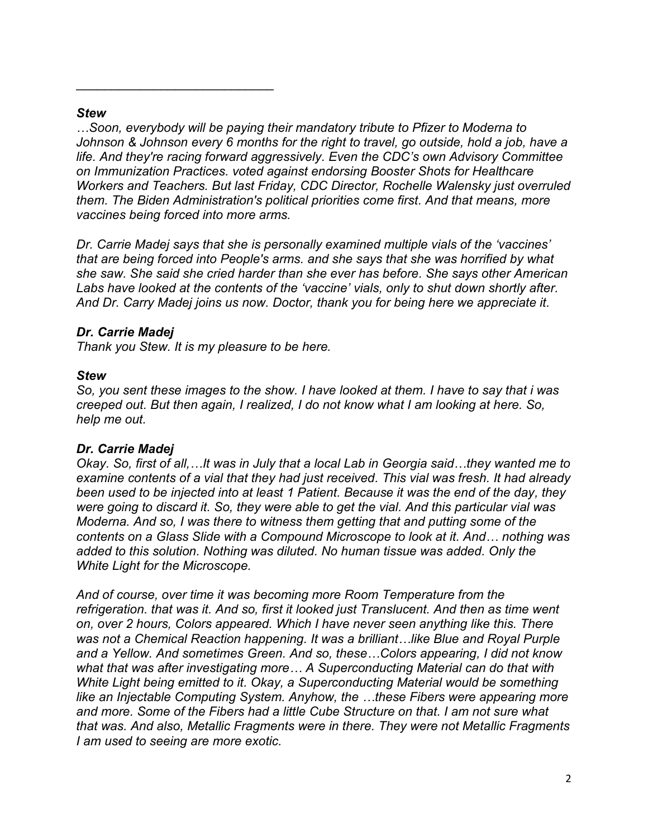#### *Stew*

*…Soon, everybody will be paying their mandatory tribute to Pfizer to Moderna to Johnson & Johnson every 6 months for the right to travel, go outside, hold a job, have a life. And they're racing forward aggressively. Even the CDC's own Advisory Committee on Immunization Practices. voted against endorsing Booster Shots for Healthcare Workers and Teachers. But last Friday, CDC Director, Rochelle Walensky just overruled them. The Biden Administration's political priorities come first. And that means, more vaccines being forced into more arms.*

*Dr. Carrie Madej says that she is personally examined multiple vials of the 'vaccines' that are being forced into People's arms. and she says that she was horrified by what she saw. She said she cried harder than she ever has before. She says other American Labs have looked at the contents of the 'vaccine' vials, only to shut down shortly after. And Dr. Carry Madej joins us now. Doctor, thank you for being here we appreciate it.*

# *Dr. Carrie Madej*

*Thank you Stew. It is my pleasure to be here.*

\_\_\_\_\_\_\_\_\_\_\_\_\_\_\_\_\_\_\_\_\_\_\_\_\_\_\_\_

#### *Stew*

*So, you sent these images to the show. I have looked at them. I have to say that i was creeped out. But then again, I realized, I do not know what I am looking at here. So, help me out.*

# *Dr. Carrie Madej*

*Okay. So, first of all,…It was in July that a local Lab in Georgia said…they wanted me to examine contents of a vial that they had just received. This vial was fresh. It had already been used to be injected into at least 1 Patient. Because it was the end of the day, they were going to discard it. So, they were able to get the vial. And this particular vial was Moderna. And so, I was there to witness them getting that and putting some of the contents on a Glass Slide with a Compound Microscope to look at it. And… nothing was added to this solution. Nothing was diluted. No human tissue was added. Only the White Light for the Microscope.*

*And of course, over time it was becoming more Room Temperature from the refrigeration. that was it. And so, first it looked just Translucent. And then as time went on, over 2 hours, Colors appeared. Which I have never seen anything like this. There was not a Chemical Reaction happening. It was a brilliant…like Blue and Royal Purple and a Yellow. And sometimes Green. And so, these…Colors appearing, I did not know what that was after investigating more… A Superconducting Material can do that with White Light being emitted to it. Okay, a Superconducting Material would be something like an Injectable Computing System. Anyhow, the …these Fibers were appearing more and more. Some of the Fibers had a little Cube Structure on that. I am not sure what that was. And also, Metallic Fragments were in there. They were not Metallic Fragments I am used to seeing are more exotic.*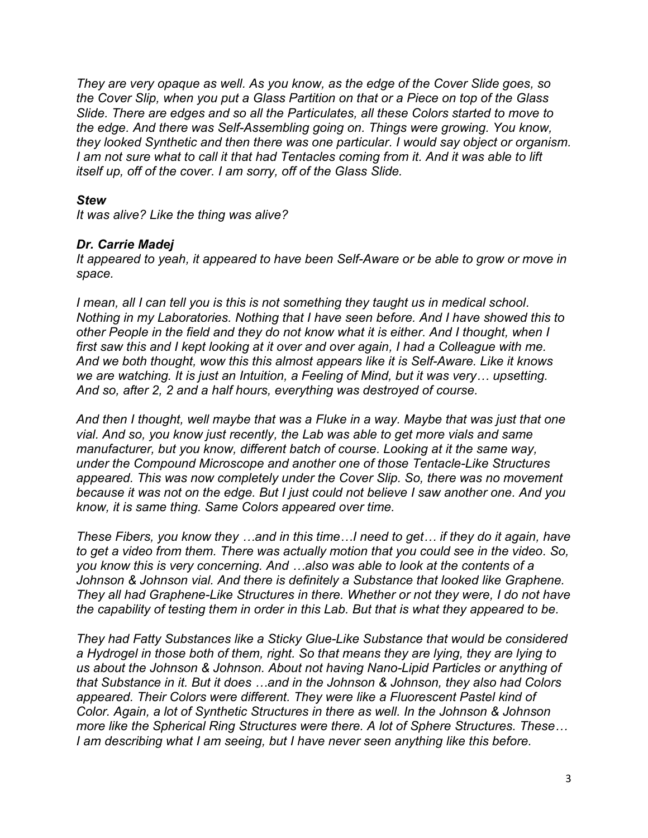*They are very opaque as well. As you know, as the edge of the Cover Slide goes, so the Cover Slip, when you put a Glass Partition on that or a Piece on top of the Glass Slide. There are edges and so all the Particulates, all these Colors started to move to the edge. And there was Self-Assembling going on. Things were growing. You know, they looked Synthetic and then there was one particular. I would say object or organism.* I am not sure what to call it that had Tentacles coming from it. And it was able to lift *itself up, off of the cover. I am sorry, off of the Glass Slide.*

#### *Stew*

*It was alive? Like the thing was alive?*

#### *Dr. Carrie Madej*

*It appeared to yeah, it appeared to have been Self-Aware or be able to grow or move in space.*

*I mean, all I can tell you is this is not something they taught us in medical school. Nothing in my Laboratories. Nothing that I have seen before. And I have showed this to other People in the field and they do not know what it is either. And I thought, when I first saw this and I kept looking at it over and over again, I had a Colleague with me. And we both thought, wow this this almost appears like it is Self-Aware. Like it knows we are watching. It is just an Intuition, a Feeling of Mind, but it was very… upsetting. And so, after 2, 2 and a half hours, everything was destroyed of course.* 

*And then I thought, well maybe that was a Fluke in a way. Maybe that was just that one vial. And so, you know just recently, the Lab was able to get more vials and same manufacturer, but you know, different batch of course. Looking at it the same way, under the Compound Microscope and another one of those Tentacle-Like Structures appeared. This was now completely under the Cover Slip. So, there was no movement because it was not on the edge. But I just could not believe I saw another one. And you know, it is same thing. Same Colors appeared over time.* 

*These Fibers, you know they …and in this time…I need to get… if they do it again, have to get a video from them. There was actually motion that you could see in the video. So, you know this is very concerning. And …also was able to look at the contents of a Johnson & Johnson vial. And there is definitely a Substance that looked like Graphene. They all had Graphene-Like Structures in there. Whether or not they were, I do not have the capability of testing them in order in this Lab. But that is what they appeared to be.*

*They had Fatty Substances like a Sticky Glue-Like Substance that would be considered a Hydrogel in those both of them, right. So that means they are lying, they are lying to us about the Johnson & Johnson. About not having Nano-Lipid Particles or anything of that Substance in it. But it does …and in the Johnson & Johnson, they also had Colors appeared. Their Colors were different. They were like a Fluorescent Pastel kind of Color. Again, a lot of Synthetic Structures in there as well. In the Johnson & Johnson more like the Spherical Ring Structures were there. A lot of Sphere Structures. These… I am describing what I am seeing, but I have never seen anything like this before.*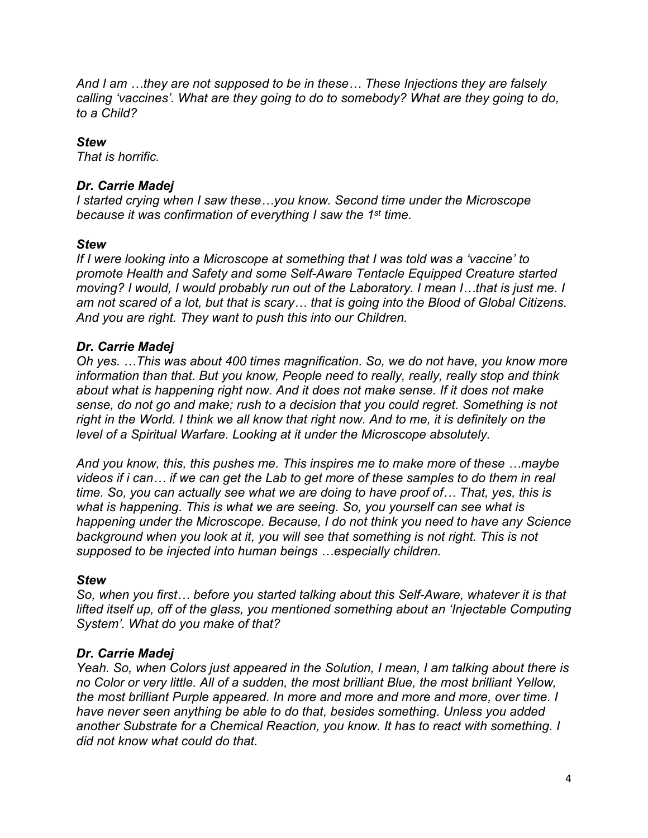*And I am …they are not supposed to be in these… These Injections they are falsely calling 'vaccines'. What are they going to do to somebody? What are they going to do, to a Child?* 

# *Stew*

*That is horrific.* 

# *Dr. Carrie Madej*

*I started crying when I saw these…you know. Second time under the Microscope because it was confirmation of everything I saw the 1 st time.* 

# *Stew*

*If I were looking into a Microscope at something that I was told was a 'vaccine' to promote Health and Safety and some Self-Aware Tentacle Equipped Creature started moving? I would, I would probably run out of the Laboratory. I mean I…that is just me. I am not scared of a lot, but that is scary… that is going into the Blood of Global Citizens. And you are right. They want to push this into our Children.*

# *Dr. Carrie Madej*

*Oh yes. …This was about 400 times magnification. So, we do not have, you know more information than that. But you know, People need to really, really, really stop and think about what is happening right now. And it does not make sense. If it does not make sense, do not go and make; rush to a decision that you could regret. Something is not right in the World. I think we all know that right now. And to me, it is definitely on the level of a Spiritual Warfare. Looking at it under the Microscope absolutely.*

*And you know, this, this pushes me. This inspires me to make more of these …maybe videos if i can… if we can get the Lab to get more of these samples to do them in real time. So, you can actually see what we are doing to have proof of… That, yes, this is what is happening. This is what we are seeing. So, you yourself can see what is happening under the Microscope. Because, I do not think you need to have any Science background when you look at it, you will see that something is not right. This is not supposed to be injected into human beings …especially children.*

# *Stew*

*So, when you first… before you started talking about this Self-Aware, whatever it is that lifted itself up, off of the glass, you mentioned something about an 'Injectable Computing System'. What do you make of that?*

# *Dr. Carrie Madej*

*Yeah. So, when Colors just appeared in the Solution, I mean, I am talking about there is no Color or very little. All of a sudden, the most brilliant Blue, the most brilliant Yellow, the most brilliant Purple appeared. In more and more and more and more, over time. I have never seen anything be able to do that, besides something. Unless you added another Substrate for a Chemical Reaction, you know. It has to react with something. I did not know what could do that.*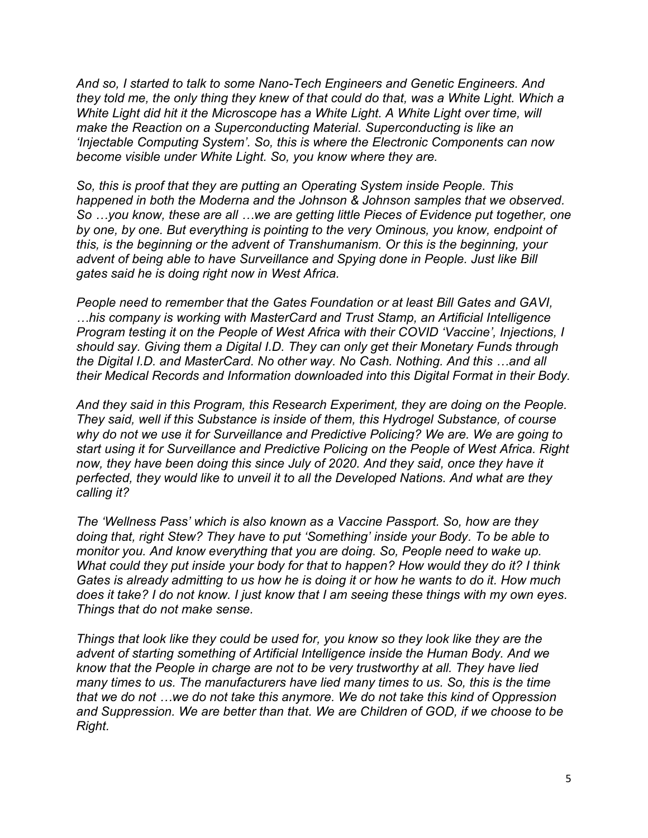*And so, I started to talk to some Nano-Tech Engineers and Genetic Engineers. And they told me, the only thing they knew of that could do that, was a White Light. Which a White Light did hit it the Microscope has a White Light. A White Light over time, will make the Reaction on a Superconducting Material. Superconducting is like an 'Injectable Computing System'. So, this is where the Electronic Components can now become visible under White Light. So, you know where they are.*

*So, this is proof that they are putting an Operating System inside People. This happened in both the Moderna and the Johnson & Johnson samples that we observed. So …you know, these are all …we are getting little Pieces of Evidence put together, one by one, by one. But everything is pointing to the very Ominous, you know, endpoint of this, is the beginning or the advent of Transhumanism. Or this is the beginning, your advent of being able to have Surveillance and Spying done in People. Just like Bill gates said he is doing right now in West Africa.*

*People need to remember that the Gates Foundation or at least Bill Gates and GAVI, …his company is working with MasterCard and Trust Stamp, an Artificial Intelligence Program testing it on the People of West Africa with their COVID 'Vaccine', Injections, I should say. Giving them a Digital I.D. They can only get their Monetary Funds through the Digital I.D. and MasterCard. No other way. No Cash. Nothing. And this …and all their Medical Records and Information downloaded into this Digital Format in their Body.* 

*And they said in this Program, this Research Experiment, they are doing on the People. They said, well if this Substance is inside of them, this Hydrogel Substance, of course why do not we use it for Surveillance and Predictive Policing? We are. We are going to start using it for Surveillance and Predictive Policing on the People of West Africa. Right now, they have been doing this since July of 2020. And they said, once they have it perfected, they would like to unveil it to all the Developed Nations. And what are they calling it?* 

*The 'Wellness Pass' which is also known as a Vaccine Passport. So, how are they doing that, right Stew? They have to put 'Something' inside your Body. To be able to monitor you. And know everything that you are doing. So, People need to wake up. What could they put inside your body for that to happen? How would they do it? I think Gates is already admitting to us how he is doing it or how he wants to do it. How much does it take? I do not know. I just know that I am seeing these things with my own eyes. Things that do not make sense.* 

*Things that look like they could be used for, you know so they look like they are the advent of starting something of Artificial Intelligence inside the Human Body. And we know that the People in charge are not to be very trustworthy at all. They have lied many times to us. The manufacturers have lied many times to us. So, this is the time that we do not …we do not take this anymore. We do not take this kind of Oppression and Suppression. We are better than that. We are Children of GOD, if we choose to be Right.*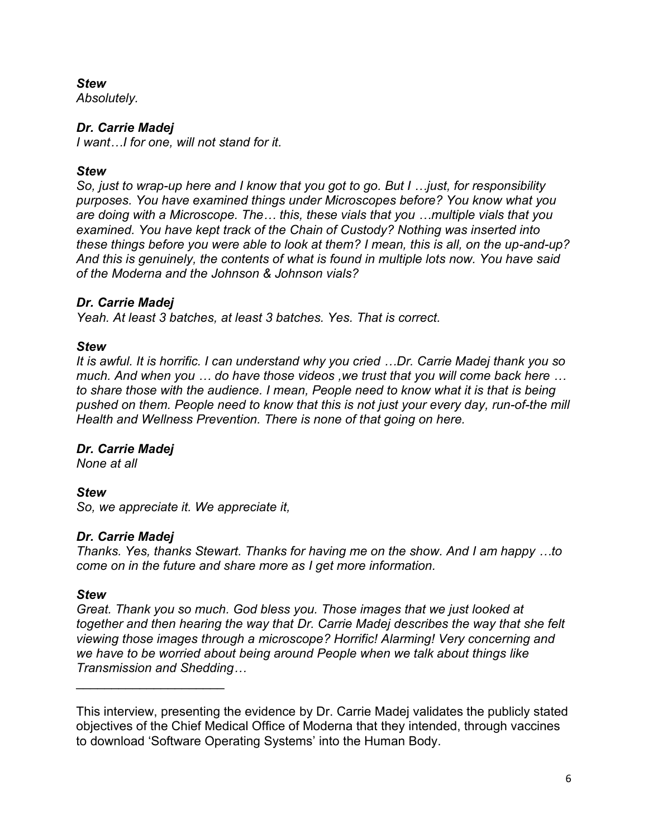# *Stew*

*Absolutely.*

# *Dr. Carrie Madej*

*I want…I for one, will not stand for it.* 

# *Stew*

*So, just to wrap-up here and I know that you got to go. But I …just, for responsibility purposes. You have examined things under Microscopes before? You know what you are doing with a Microscope. The… this, these vials that you …multiple vials that you examined. You have kept track of the Chain of Custody? Nothing was inserted into these things before you were able to look at them? I mean, this is all, on the up-and-up? And this is genuinely, the contents of what is found in multiple lots now. You have said of the Moderna and the Johnson & Johnson vials?*

# *Dr. Carrie Madej*

*Yeah. At least 3 batches, at least 3 batches. Yes. That is correct.*

# *Stew*

*It is awful. It is horrific. I can understand why you cried …Dr. Carrie Madej thank you so much. And when you … do have those videos ,we trust that you will come back here … to share those with the audience. I mean, People need to know what it is that is being pushed on them. People need to know that this is not just your every day, run-of-the mill Health and Wellness Prevention. There is none of that going on here.* 

# *Dr. Carrie Madej*

*None at all*

# *Stew*

*So, we appreciate it. We appreciate it,*

# *Dr. Carrie Madej*

 $\overline{\phantom{a}}$  , which is a set of the set of the set of the set of the set of the set of the set of the set of the set of the set of the set of the set of the set of the set of the set of the set of the set of the set of th

*Thanks. Yes, thanks Stewart. Thanks for having me on the show. And I am happy …to come on in the future and share more as I get more information.*

# *Stew*

*Great. Thank you so much. God bless you. Those images that we just looked at together and then hearing the way that Dr. Carrie Madej describes the way that she felt viewing those images through a microscope? Horrific! Alarming! Very concerning and we have to be worried about being around People when we talk about things like Transmission and Shedding…* 

This interview, presenting the evidence by Dr. Carrie Madej validates the publicly stated objectives of the Chief Medical Office of Moderna that they intended, through vaccines to download 'Software Operating Systems' into the Human Body.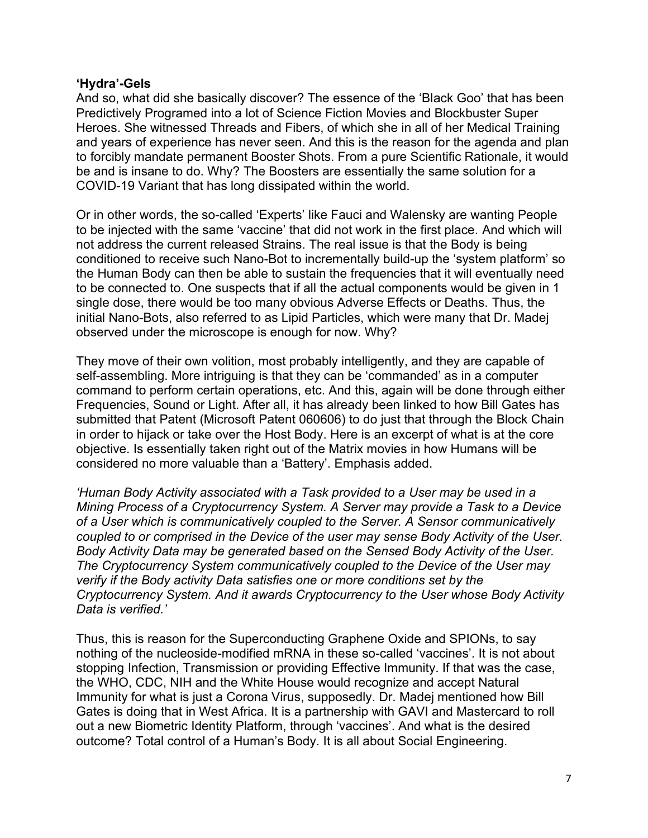#### **'Hydra'-Gels**

And so, what did she basically discover? The essence of the 'Black Goo' that has been Predictively Programed into a lot of Science Fiction Movies and Blockbuster Super Heroes. She witnessed Threads and Fibers, of which she in all of her Medical Training and years of experience has never seen. And this is the reason for the agenda and plan to forcibly mandate permanent Booster Shots. From a pure Scientific Rationale, it would be and is insane to do. Why? The Boosters are essentially the same solution for a COVID-19 Variant that has long dissipated within the world.

Or in other words, the so-called 'Experts' like Fauci and Walensky are wanting People to be injected with the same 'vaccine' that did not work in the first place. And which will not address the current released Strains. The real issue is that the Body is being conditioned to receive such Nano-Bot to incrementally build-up the 'system platform' so the Human Body can then be able to sustain the frequencies that it will eventually need to be connected to. One suspects that if all the actual components would be given in 1 single dose, there would be too many obvious Adverse Effects or Deaths. Thus, the initial Nano-Bots, also referred to as Lipid Particles, which were many that Dr. Madej observed under the microscope is enough for now. Why?

They move of their own volition, most probably intelligently, and they are capable of self-assembling. More intriguing is that they can be 'commanded' as in a computer command to perform certain operations, etc. And this, again will be done through either Frequencies, Sound or Light. After all, it has already been linked to how Bill Gates has submitted that Patent (Microsoft Patent 060606) to do just that through the Block Chain in order to hijack or take over the Host Body. Here is an excerpt of what is at the core objective. Is essentially taken right out of the Matrix movies in how Humans will be considered no more valuable than a 'Battery'. Emphasis added.

*'Human Body Activity associated with a Task provided to a User may be used in a Mining Process of a Cryptocurrency System. A Server may provide a Task to a Device of a User which is communicatively coupled to the Server. A Sensor communicatively coupled to or comprised in the Device of the user may sense Body Activity of the User. Body Activity Data may be generated based on the Sensed Body Activity of the User. The Cryptocurrency System communicatively coupled to the Device of the User may verify if the Body activity Data satisfies one or more conditions set by the Cryptocurrency System. And it awards Cryptocurrency to the User whose Body Activity Data is verified.'*

Thus, this is reason for the Superconducting Graphene Oxide and SPIONs, to say nothing of the nucleoside-modified mRNA in these so-called 'vaccines'. It is not about stopping Infection, Transmission or providing Effective Immunity. If that was the case, the WHO, CDC, NIH and the White House would recognize and accept Natural Immunity for what is just a Corona Virus, supposedly. Dr. Madej mentioned how Bill Gates is doing that in West Africa. It is a partnership with GAVI and Mastercard to roll out a new Biometric Identity Platform, through 'vaccines'. And what is the desired outcome? Total control of a Human's Body. It is all about Social Engineering.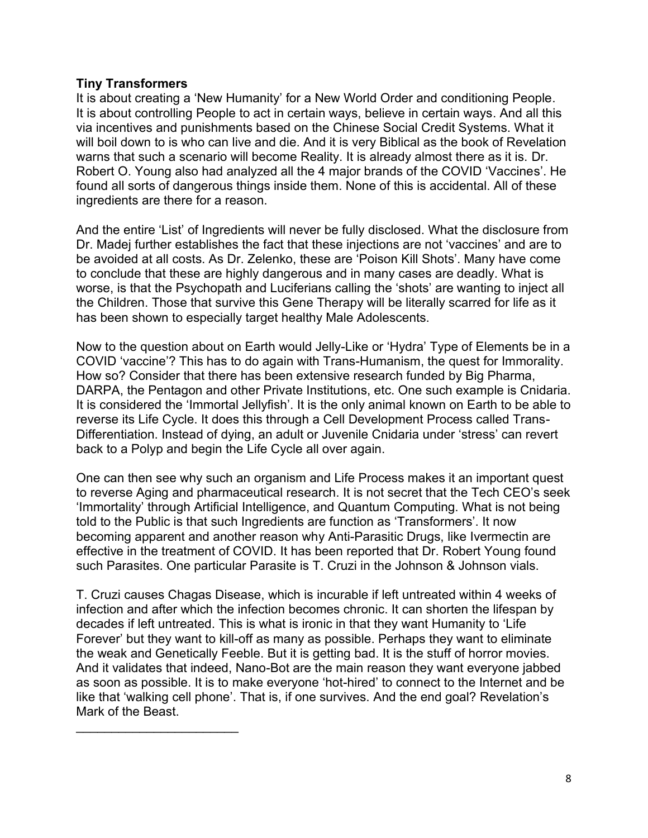# **Tiny Transformers**

 $\mathcal{L}_\text{max}$  , where  $\mathcal{L}_\text{max}$  , we have the set of the set of the set of the set of the set of the set of the set of the set of the set of the set of the set of the set of the set of the set of the set of the set of

It is about creating a 'New Humanity' for a New World Order and conditioning People. It is about controlling People to act in certain ways, believe in certain ways. And all this via incentives and punishments based on the Chinese Social Credit Systems. What it will boil down to is who can live and die. And it is very Biblical as the book of Revelation warns that such a scenario will become Reality. It is already almost there as it is. Dr. Robert O. Young also had analyzed all the 4 major brands of the COVID 'Vaccines'. He found all sorts of dangerous things inside them. None of this is accidental. All of these ingredients are there for a reason.

And the entire 'List' of Ingredients will never be fully disclosed. What the disclosure from Dr. Madej further establishes the fact that these injections are not 'vaccines' and are to be avoided at all costs. As Dr. Zelenko, these are 'Poison Kill Shots'. Many have come to conclude that these are highly dangerous and in many cases are deadly. What is worse, is that the Psychopath and Luciferians calling the 'shots' are wanting to inject all the Children. Those that survive this Gene Therapy will be literally scarred for life as it has been shown to especially target healthy Male Adolescents.

Now to the question about on Earth would Jelly-Like or 'Hydra' Type of Elements be in a COVID 'vaccine'? This has to do again with Trans-Humanism, the quest for Immorality. How so? Consider that there has been extensive research funded by Big Pharma, DARPA, the Pentagon and other Private Institutions, etc. One such example is Cnidaria. It is considered the 'Immortal Jellyfish'. It is the only animal known on Earth to be able to reverse its Life Cycle. It does this through a Cell Development Process called Trans-Differentiation. Instead of dying, an adult or Juvenile Cnidaria under 'stress' can revert back to a Polyp and begin the Life Cycle all over again.

One can then see why such an organism and Life Process makes it an important quest to reverse Aging and pharmaceutical research. It is not secret that the Tech CEO's seek 'Immortality' through Artificial Intelligence, and Quantum Computing. What is not being told to the Public is that such Ingredients are function as 'Transformers'. It now becoming apparent and another reason why Anti-Parasitic Drugs, like Ivermectin are effective in the treatment of COVID. It has been reported that Dr. Robert Young found such Parasites. One particular Parasite is T. Cruzi in the Johnson & Johnson vials.

T. Cruzi causes Chagas Disease, which is incurable if left untreated within 4 weeks of infection and after which the infection becomes chronic. It can shorten the lifespan by decades if left untreated. This is what is ironic in that they want Humanity to 'Life Forever' but they want to kill-off as many as possible. Perhaps they want to eliminate the weak and Genetically Feeble. But it is getting bad. It is the stuff of horror movies. And it validates that indeed, Nano-Bot are the main reason they want everyone jabbed as soon as possible. It is to make everyone 'hot-hired' to connect to the Internet and be like that 'walking cell phone'. That is, if one survives. And the end goal? Revelation's Mark of the Beast.